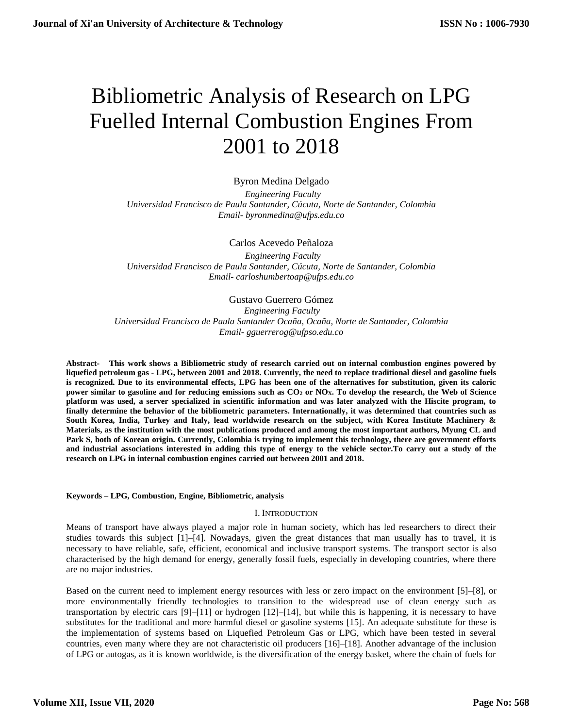# Bibliometric Analysis of Research on LPG Fuelled Internal Combustion Engines From 2001 to 2018

Byron Medina Delgado

 *Engineering Faculty Universidad Francisco de Paula Santander, Cúcuta, Norte de Santander, Colombia Email- byronmedina@ufps.edu.co*

Carlos Acevedo Peñaloza

 *Engineering Faculty Universidad Francisco de Paula Santander, Cúcuta, Norte de Santander, Colombia Email- carloshumbertoap@ufps.edu.co*

Gustavo Guerrero Gómez

*Engineering Faculty Universidad Francisco de Paula Santander Ocaña, Ocaña, Norte de Santander, Colombia Email- gguerrerog@ufpso.edu.co*

**Abstract- This work shows a Bibliometric study of research carried out on internal combustion engines powered by liquefied petroleum gas - LPG, between 2001 and 2018. Currently, the need to replace traditional diesel and gasoline fuels is recognized. Due to its environmental effects, LPG has been one of the alternatives for substitution, given its caloric power similar to gasoline and for reducing emissions such as CO<sup>2</sup> or NOX. To develop the research, the Web of Science platform was used, a server specialized in scientific information and was later analyzed with the Hiscite program, to finally determine the behavior of the bibliometric parameters. Internationally, it was determined that countries such as South Korea, India, Turkey and Italy, lead worldwide research on the subject, with Korea Institute Machinery & Materials, as the institution with the most publications produced and among the most important authors, Myung CL and Park S, both of Korean origin. Currently, Colombia is trying to implement this technology, there are government efforts and industrial associations interested in adding this type of energy to the vehicle sector.To carry out a study of the research on LPG in internal combustion engines carried out between 2001 and 2018.**

# **Keywords – LPG, Combustion, Engine, Bibliometric, analysis**

# I. INTRODUCTION

Means of transport have always played a major role in human society, which has led researchers to direct their studies towards this subject [1]–[4]. Nowadays, given the great distances that man usually has to travel, it is necessary to have reliable, safe, efficient, economical and inclusive transport systems. The transport sector is also characterised by the high demand for energy, generally fossil fuels, especially in developing countries, where there are no major industries.

Based on the current need to implement energy resources with less or zero impact on the environment [5]–[8], or more environmentally friendly technologies to transition to the widespread use of clean energy such as transportation by electric cars [9]–[11] or hydrogen [12]–[14], but while this is happening, it is necessary to have substitutes for the traditional and more harmful diesel or gasoline systems [15]. An adequate substitute for these is the implementation of systems based on Liquefied Petroleum Gas or LPG, which have been tested in several countries, even many where they are not characteristic oil producers [16]–[18]. Another advantage of the inclusion of LPG or autogas, as it is known worldwide, is the diversification of the energy basket, where the chain of fuels for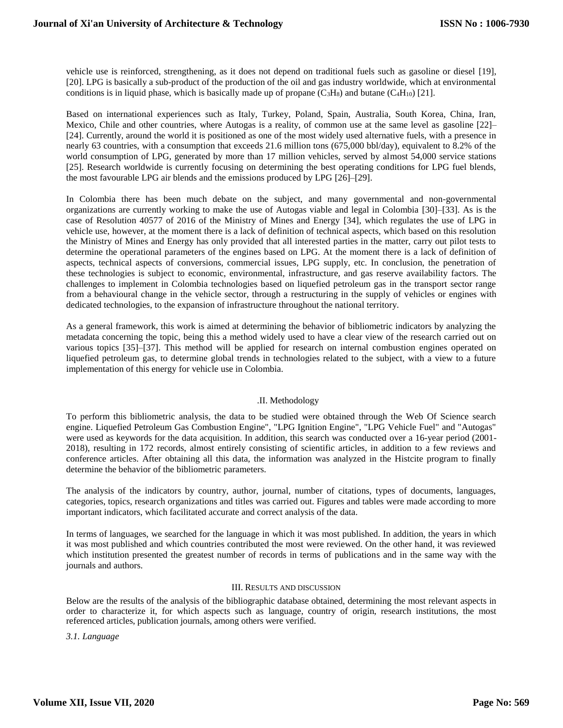vehicle use is reinforced, strengthening, as it does not depend on traditional fuels such as gasoline or diesel [19], [20]. LPG is basically a sub-product of the production of the oil and gas industry worldwide, which at environmental conditions is in liquid phase, which is basically made up of propane  $(C_3H_8)$  and butane  $(C_4H_{10})$  [21].

Based on international experiences such as Italy, Turkey, Poland, Spain, Australia, South Korea, China, Iran, Mexico, Chile and other countries, where Autogas is a reality, of common use at the same level as gasoline [22]– [24]. Currently, around the world it is positioned as one of the most widely used alternative fuels, with a presence in nearly 63 countries, with a consumption that exceeds 21.6 million tons (675,000 bbl/day), equivalent to 8.2% of the world consumption of LPG, generated by more than 17 million vehicles, served by almost 54,000 service stations [25]. Research worldwide is currently focusing on determining the best operating conditions for LPG fuel blends, the most favourable LPG air blends and the emissions produced by LPG [26]–[29].

In Colombia there has been much debate on the subject, and many governmental and non-governmental organizations are currently working to make the use of Autogas viable and legal in Colombia [30]–[33]. As is the case of Resolution 40577 of 2016 of the Ministry of Mines and Energy [34], which regulates the use of LPG in vehicle use, however, at the moment there is a lack of definition of technical aspects, which based on this resolution the Ministry of Mines and Energy has only provided that all interested parties in the matter, carry out pilot tests to determine the operational parameters of the engines based on LPG. At the moment there is a lack of definition of aspects, technical aspects of conversions, commercial issues, LPG supply, etc. In conclusion, the penetration of these technologies is subject to economic, environmental, infrastructure, and gas reserve availability factors. The challenges to implement in Colombia technologies based on liquefied petroleum gas in the transport sector range from a behavioural change in the vehicle sector, through a restructuring in the supply of vehicles or engines with dedicated technologies, to the expansion of infrastructure throughout the national territory.

As a general framework, this work is aimed at determining the behavior of bibliometric indicators by analyzing the metadata concerning the topic, being this a method widely used to have a clear view of the research carried out on various topics [35]–[37]. This method will be applied for research on internal combustion engines operated on liquefied petroleum gas, to determine global trends in technologies related to the subject, with a view to a future implementation of this energy for vehicle use in Colombia.

# .II. Methodology

To perform this bibliometric analysis, the data to be studied were obtained through the Web Of Science search engine. Liquefied Petroleum Gas Combustion Engine", "LPG Ignition Engine", "LPG Vehicle Fuel" and "Autogas" were used as keywords for the data acquisition. In addition, this search was conducted over a 16-year period (2001- 2018), resulting in 172 records, almost entirely consisting of scientific articles, in addition to a few reviews and conference articles. After obtaining all this data, the information was analyzed in the Histcite program to finally determine the behavior of the bibliometric parameters.

The analysis of the indicators by country, author, journal, number of citations, types of documents, languages, categories, topics, research organizations and titles was carried out. Figures and tables were made according to more important indicators, which facilitated accurate and correct analysis of the data.

In terms of languages, we searched for the language in which it was most published. In addition, the years in which it was most published and which countries contributed the most were reviewed. On the other hand, it was reviewed which institution presented the greatest number of records in terms of publications and in the same way with the journals and authors.

# III. RESULTS AND DISCUSSION

Below are the results of the analysis of the bibliographic database obtained, determining the most relevant aspects in order to characterize it, for which aspects such as language, country of origin, research institutions, the most referenced articles, publication journals, among others were verified.

*3.1. Language*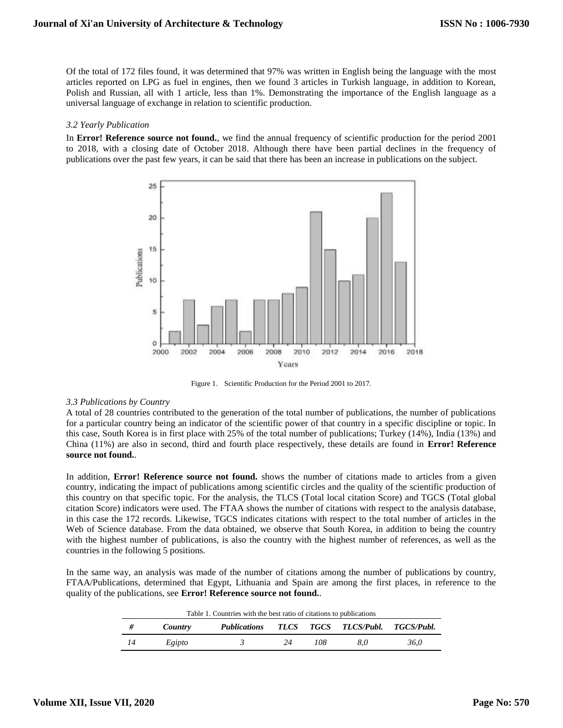Of the total of 172 files found, it was determined that 97% was written in English being the language with the most articles reported on LPG as fuel in engines, then we found 3 articles in Turkish language, in addition to Korean, Polish and Russian, all with 1 article, less than 1%. Demonstrating the importance of the English language as a universal language of exchange in relation to scientific production.

#### *3.2 Yearly Publication*

In **Error! Reference source not found.**, we find the annual frequency of scientific production for the period 2001 to 2018, with a closing date of October 2018. Although there have been partial declines in the frequency of publications over the past few years, it can be said that there has been an increase in publications on the subject.



Figure 1. Scientific Production for the Period 2001 to 2017.

# *3.3 Publications by Country*

A total of 28 countries contributed to the generation of the total number of publications, the number of publications for a particular country being an indicator of the scientific power of that country in a specific discipline or topic. In this case, South Korea is in first place with 25% of the total number of publications; Turkey (14%), India (13%) and China (11%) are also in second, third and fourth place respectively, these details are found in **Error! Reference source not found.**.

In addition, **Error! Reference source not found.** shows the number of citations made to articles from a given country, indicating the impact of publications among scientific circles and the quality of the scientific production of this country on that specific topic. For the analysis, the TLCS (Total local citation Score) and TGCS (Total global citation Score) indicators were used. The FTAA shows the number of citations with respect to the analysis database, in this case the 172 records. Likewise, TGCS indicates citations with respect to the total number of articles in the Web of Science database. From the data obtained, we observe that South Korea, in addition to being the country with the highest number of publications, is also the country with the highest number of references, as well as the countries in the following 5 positions.

In the same way, an analysis was made of the number of citations among the number of publications by country, FTAA/Publications, determined that Egypt, Lithuania and Spain are among the first places, in reference to the quality of the publications, see **Error! Reference source not found.**.

|    | Table 1. Countries with the best ratio of citations to publications |                                              |    |     |     |      |
|----|---------------------------------------------------------------------|----------------------------------------------|----|-----|-----|------|
| #  | Country                                                             | Publications TLCS TGCS TLCS/Publ. TGCS/Publ. |    |     |     |      |
| 14 | Egipto                                                              |                                              | 24 | 108 | 8.0 | 36.0 |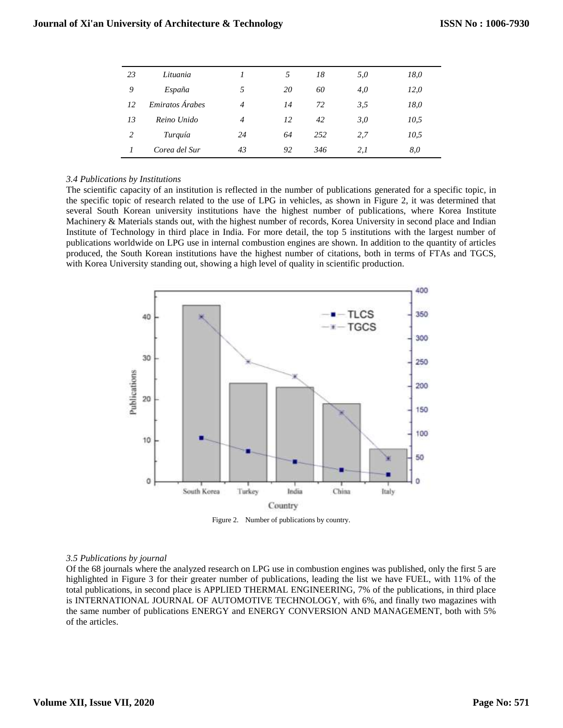| 23 | Lituania        |                | 5  | 18   | 5,0 | 18,0 |
|----|-----------------|----------------|----|------|-----|------|
| 9  | España          | 5              | 20 | 60   | 4,0 | 12,0 |
| 12 | Emiratos Árabes | $\overline{4}$ | 14 | 72   | 3,5 | 18,0 |
| 13 | Reino Unido     | $\overline{4}$ | 12 | 42   | 3,0 | 10,5 |
| 2  | Turquía         | 24             | 64 | 2.52 | 2,7 | 10,5 |
|    | Corea del Sur   | 43             | 92 | 346  | 2,1 | 8,0  |

## *3.4 Publications by Institutions*

The scientific capacity of an institution is reflected in the number of publications generated for a specific topic, in the specific topic of research related to the use of LPG in vehicles, as shown in Figure 2, it was determined that several South Korean university institutions have the highest number of publications, where Korea Institute Machinery & Materials stands out, with the highest number of records, Korea University in second place and Indian Institute of Technology in third place in India. For more detail, the top 5 institutions with the largest number of publications worldwide on LPG use in internal combustion engines are shown. In addition to the quantity of articles produced, the South Korean institutions have the highest number of citations, both in terms of FTAs and TGCS, with Korea University standing out, showing a high level of quality in scientific production.



Figure 2. Number of publications by country.

#### *3.5 Publications by journal*

Of the 68 journals where the analyzed research on LPG use in combustion engines was published, only the first 5 are highlighted in Figure 3 for their greater number of publications, leading the list we have FUEL, with 11% of the total publications, in second place is APPLIED THERMAL ENGINEERING, 7% of the publications, in third place is INTERNATIONAL JOURNAL OF AUTOMOTIVE TECHNOLOGY, with 6%, and finally two magazines with the same number of publications ENERGY and ENERGY CONVERSION AND MANAGEMENT, both with 5% of the articles.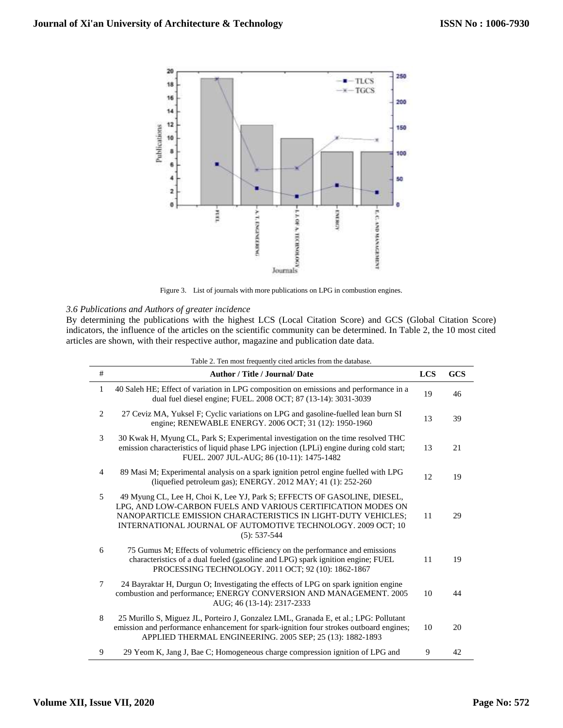

Figure 3. List of journals with more publications on LPG in combustion engines.

# *3.6 Publications and Authors of greater incidence*

By determining the publications with the highest LCS (Local Citation Score) and GCS (Global Citation Score) indicators, the influence of the articles on the scientific community can be determined. In Table 2, the 10 most cited articles are shown, with their respective author, magazine and publication date data.

| #              | <b>Author / Title / Journal/ Date</b>                                                                                                                                                                                                                                                         | <b>LCS</b> | <b>GCS</b> |  |
|----------------|-----------------------------------------------------------------------------------------------------------------------------------------------------------------------------------------------------------------------------------------------------------------------------------------------|------------|------------|--|
| 1              | 40 Saleh HE; Effect of variation in LPG composition on emissions and performance in a<br>dual fuel diesel engine; FUEL. 2008 OCT; 87 (13-14): 3031-3039                                                                                                                                       | 19         | 46         |  |
| 2              | 27 Ceviz MA, Yuksel F; Cyclic variations on LPG and gasoline-fuelled lean burn SI<br>engine; RENEWABLE ENERGY. 2006 OCT; 31 (12): 1950-1960                                                                                                                                                   | 13         | 39         |  |
| 3              | 30 Kwak H, Myung CL, Park S; Experimental investigation on the time resolved THC<br>emission characteristics of liquid phase LPG injection (LPLi) engine during cold start;<br>FUEL. 2007 JUL-AUG; 86 (10-11): 1475-1482                                                                      | 13         | 21         |  |
| $\overline{4}$ | 89 Masi M; Experimental analysis on a spark ignition petrol engine fuelled with LPG<br>(liquefied petroleum gas); ENERGY. 2012 MAY; 41 (1): 252-260                                                                                                                                           | 12         | 19         |  |
| 5              | 49 Myung CL, Lee H, Choi K, Lee YJ, Park S; EFFECTS OF GASOLINE, DIESEL,<br>LPG, AND LOW-CARBON FUELS AND VARIOUS CERTIFICATION MODES ON<br>NANOPARTICLE EMISSION CHARACTERISTICS IN LIGHT-DUTY VEHICLES;<br>INTERNATIONAL JOURNAL OF AUTOMOTIVE TECHNOLOGY. 2009 OCT; 10<br>$(5): 537 - 544$ | 11         | 29         |  |
| 6              | 75 Gumus M; Effects of volumetric efficiency on the performance and emissions<br>characteristics of a dual fueled (gasoline and LPG) spark ignition engine; FUEL<br>PROCESSING TECHNOLOGY. 2011 OCT; 92 (10): 1862-1867                                                                       | 11         | 19         |  |
| 7              | 24 Bayraktar H, Durgun O; Investigating the effects of LPG on spark ignition engine<br>combustion and performance; ENERGY CONVERSION AND MANAGEMENT. 2005<br>AUG; 46 (13-14): 2317-2333                                                                                                       | 10         | 44         |  |
| 8              | 25 Murillo S, Miguez JL, Porteiro J, Gonzalez LML, Granada E, et al.; LPG: Pollutant<br>emission and performance enhancement for spark-ignition four strokes outboard engines;<br>APPLIED THERMAL ENGINEERING. 2005 SEP; 25 (13): 1882-1893                                                   | 10         | 20         |  |
| 9              | 29 Yeom K, Jang J, Bae C; Homogeneous charge compression ignition of LPG and                                                                                                                                                                                                                  | 9          | 42         |  |

Table 2. Ten most frequently cited articles from the database.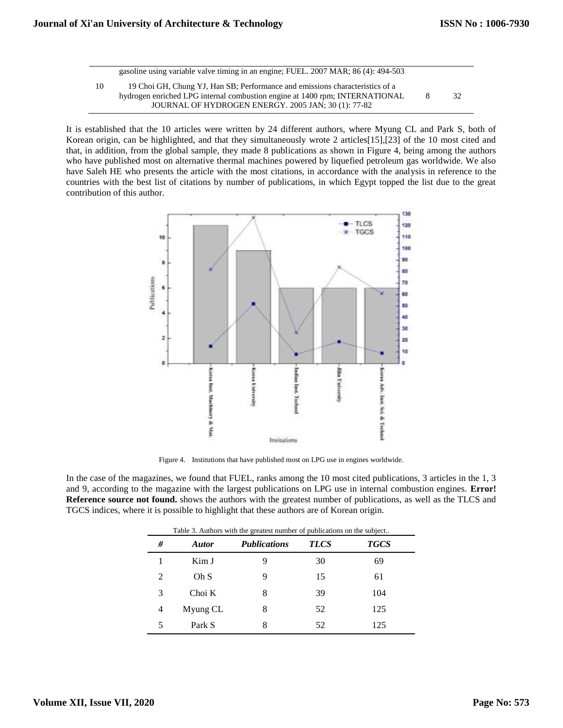|    | gasoline using variable valve timing in an engine; FUEL 2007 MAR; 86(4): 494-503                                                                                                                                   |    |    |
|----|--------------------------------------------------------------------------------------------------------------------------------------------------------------------------------------------------------------------|----|----|
| 10 | 19 Choi GH, Chung YJ, Han SB; Performance and emissions characteristics of a<br>hydrogen enriched LPG internal combustion engine at 1400 rpm; INTERNATIONAL<br>JOURNAL OF HYDROGEN ENERGY, 2005 JAN: 30 (1): 77-82 | -8 | 32 |

It is established that the 10 articles were written by 24 different authors, where Myung CL and Park S, both of Korean origin, can be highlighted, and that they simultaneously wrote 2 articles[15],[23] of the 10 most cited and that, in addition, from the global sample, they made 8 publications as shown in Figure 4, being among the authors who have published most on alternative thermal machines powered by liquefied petroleum gas worldwide. We also have Saleh HE who presents the article with the most citations, in accordance with the analysis in reference to the countries with the best list of citations by number of publications, in which Egypt topped the list due to the great contribution of this author.



Figure 4. Institutions that have published most on LPG use in engines worldwide.

In the case of the magazines, we found that FUEL, ranks among the 10 most cited publications, 3 articles in the 1, 3 and 9, according to the magazine with the largest publications on LPG use in internal combustion engines. **Error! Reference source not found.** shows the authors with the greatest number of publications, as well as the TLCS and TGCS indices, where it is possible to highlight that these authors are of Korean origin.

| # | <b>Autor</b> | <b>Publications</b> | <b>TLCS</b> | <b>TGCS</b> |
|---|--------------|---------------------|-------------|-------------|
|   | Kim J        |                     | 30          | 69          |
| 2 | Oh S         |                     | 15          | 61          |
| 3 | Choi K       | 8                   | 39          | 104         |
| 4 | Myung CL     | 8                   | 52          | 125         |
|   | Park S       | 8                   | 52          | 125         |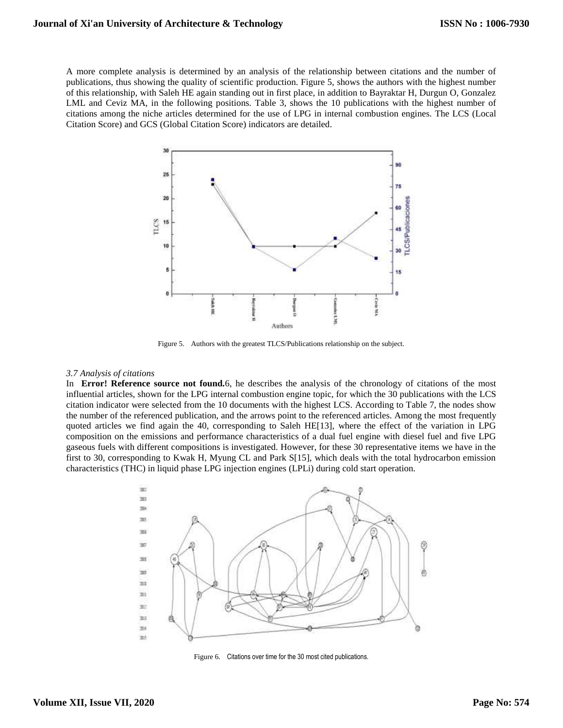A more complete analysis is determined by an analysis of the relationship between citations and the number of publications, thus showing the quality of scientific production. Figure 5, shows the authors with the highest number of this relationship, with Saleh HE again standing out in first place, in addition to Bayraktar H, Durgun O, Gonzalez LML and Ceviz MA, in the following positions. Table 3, shows the 10 publications with the highest number of citations among the niche articles determined for the use of LPG in internal combustion engines. The LCS (Local Citation Score) and GCS (Global Citation Score) indicators are detailed.



Figure 5. Authors with the greatest TLCS/Publications relationship on the subject.

#### *3.7 Analysis of citations*

In **Error! Reference source not found.**6, he describes the analysis of the chronology of citations of the most influential articles, shown for the LPG internal combustion engine topic, for which the 30 publications with the LCS citation indicator were selected from the 10 documents with the highest LCS. According to Table 7, the nodes show the number of the referenced publication, and the arrows point to the referenced articles. Among the most frequently quoted articles we find again the 40, corresponding to Saleh HE[13], where the effect of the variation in LPG composition on the emissions and performance characteristics of a dual fuel engine with diesel fuel and five LPG gaseous fuels with different compositions is investigated. However, for these 30 representative items we have in the first to 30, corresponding to Kwak H, Myung CL and Park S[15], which deals with the total hydrocarbon emission characteristics (THC) in liquid phase LPG injection engines (LPLi) during cold start operation.



Figure 6. Citations over time for the 30 most cited publications.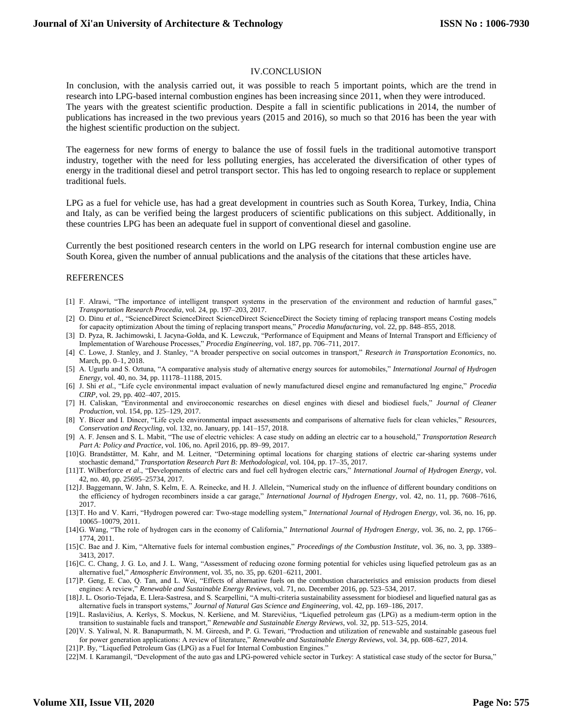# IV.CONCLUSION

In conclusion, with the analysis carried out, it was possible to reach 5 important points, which are the trend in research into LPG-based internal combustion engines has been increasing since 2011, when they were introduced. The years with the greatest scientific production. Despite a fall in scientific publications in 2014, the number of publications has increased in the two previous years (2015 and 2016), so much so that 2016 has been the year with the highest scientific production on the subject.

The eagerness for new forms of energy to balance the use of fossil fuels in the traditional automotive transport industry, together with the need for less polluting energies, has accelerated the diversification of other types of energy in the traditional diesel and petrol transport sector. This has led to ongoing research to replace or supplement traditional fuels.

LPG as a fuel for vehicle use, has had a great development in countries such as South Korea, Turkey, India, China and Italy, as can be verified being the largest producers of scientific publications on this subject. Additionally, in these countries LPG has been an adequate fuel in support of conventional diesel and gasoline.

Currently the best positioned research centers in the world on LPG research for internal combustion engine use are South Korea, given the number of annual publications and the analysis of the citations that these articles have.

#### REFERENCES

- [1] F. Alrawi, "The importance of intelligent transport systems in the preservation of the environment and reduction of harmful gases," *Transportation Research Procedia*, vol. 24, pp. 197–203, 2017.
- [2] O. Dinu *et al.*, "ScienceDirect ScienceDirect ScienceDirect ScienceDirect the Society timing of replacing transport means Costing models for capacity optimization About the timing of replacing transport means," *Procedia Manufacturing*, vol. 22, pp. 848–855, 2018.
- [3] D. Pyza, R. Jachimowski, I. Jacyna-Gołda, and K. Lewczuk, "Performance of Equipment and Means of Internal Transport and Efficiency of Implementation of Warehouse Processes," *Procedia Engineering*, vol. 187, pp. 706–711, 2017.
- [4] C. Lowe, J. Stanley, and J. Stanley, "A broader perspective on social outcomes in transport," *Research in Transportation Economics*, no. March, pp. 0–1, 2018.
- [5] A. Ugurlu and S. Oztuna, "A comparative analysis study of alternative energy sources for automobiles," *International Journal of Hydrogen Energy*, vol. 40, no. 34, pp. 11178–11188, 2015.
- [6] J. Shi *et al.*, "Life cycle environmental impact evaluation of newly manufactured diesel engine and remanufactured lng engine," *Procedia CIRP*, vol. 29, pp. 402–407, 2015.
- [7] H. Caliskan, "Environmental and enviroeconomic researches on diesel engines with diesel and biodiesel fuels," *Journal of Cleaner Production*, vol. 154, pp. 125–129, 2017.
- [8] Y. Bicer and I. Dincer, "Life cycle environmental impact assessments and comparisons of alternative fuels for clean vehicles," *Resources, Conservation and Recycling*, vol. 132, no. January, pp. 141–157, 2018.
- [9] A. F. Jensen and S. L. Mabit, "The use of electric vehicles: A case study on adding an electric car to a household," *Transportation Research Part A: Policy and Practice*, vol. 106, no. April 2016, pp. 89–99, 2017.
- [10]G. Brandstätter, M. Kahr, and M. Leitner, "Determining optimal locations for charging stations of electric car-sharing systems under stochastic demand," *Transportation Research Part B: Methodological*, vol. 104, pp. 17–35, 2017.
- [11]T. Wilberforce *et al.*, "Developments of electric cars and fuel cell hydrogen electric cars," *International Journal of Hydrogen Energy*, vol. 42, no. 40, pp. 25695–25734, 2017.
- [12] J. Baggemann, W. Jahn, S. Kelm, E. A. Reinecke, and H. J. Allelein, "Numerical study on the influence of different boundary conditions on the efficiency of hydrogen recombiners inside a car garage," *International Journal of Hydrogen Energy*, vol. 42, no. 11, pp. 7608–7616, 2017.
- [13]T. Ho and V. Karri, "Hydrogen powered car: Two-stage modelling system," *International Journal of Hydrogen Energy*, vol. 36, no. 16, pp. 10065–10079, 2011.
- [14]G. Wang, "The role of hydrogen cars in the economy of California," *International Journal of Hydrogen Energy*, vol. 36, no. 2, pp. 1766– 1774, 2011.
- [15]C. Bae and J. Kim, "Alternative fuels for internal combustion engines," *Proceedings of the Combustion Institute*, vol. 36, no. 3, pp. 3389– 3413, 2017.
- [16]C. C. Chang, J. G. Lo, and J. L. Wang, "Assessment of reducing ozone forming potential for vehicles using liquefied petroleum gas as an alternative fuel," *Atmospheric Environment*, vol. 35, no. 35, pp. 6201–6211, 2001.
- [17]P. Geng, E. Cao, Q. Tan, and L. Wei, "Effects of alternative fuels on the combustion characteristics and emission products from diesel engines: A review," *Renewable and Sustainable Energy Reviews*, vol. 71, no. December 2016, pp. 523–534, 2017.
- [18]J. L. Osorio-Tejada, E. Llera-Sastresa, and S. Scarpellini, "A multi-criteria sustainability assessment for biodiesel and liquefied natural gas as alternative fuels in transport systems," *Journal of Natural Gas Science and Engineering*, vol. 42, pp. 169–186, 2017.
- [19]L. Raslavičius, A. Keršys, S. Mockus, N. Keršiene, and M. Starevičius, "Liquefied petroleum gas (LPG) as a medium-term option in the transition to sustainable fuels and transport," *Renewable and Sustainable Energy Reviews*, vol. 32, pp. 513–525, 2014.
- [20]V. S. Yaliwal, N. R. Banapurmath, N. M. Gireesh, and P. G. Tewari, "Production and utilization of renewable and sustainable gaseous fuel for power generation applications: A review of literature," *Renewable and Sustainable Energy Reviews*, vol. 34, pp. 608–627, 2014.
- [21]P. By, "Liquefied Petroleum Gas (LPG) as a Fuel for Internal Combustion Engines."
- [22]M. I. Karamangil, "Development of the auto gas and LPG-powered vehicle sector in Turkey: A statistical case study of the sector for Bursa,"